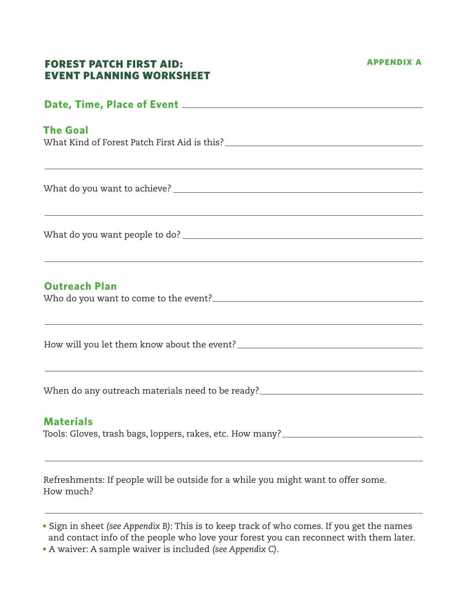#### **appendix a**

### Forest Patch First Aid: Event Planning Worksheet

# **Date, Time, Place of Event The Goal** What Kind of Forest Patch First Aid is this? What do you want to achieve? What do you want people to do? **Outreach Plan** Who do you want to come to the event? How will you let them know about the event?<br>
<u>Letting the substitute of the substitute of the substitute of the substitute of the substitute of the substitu</u> When do any outreach materials need to be ready? **Materials**

Tools: Gloves, trash bags, loppers, rakes, etc. How many?

Refreshments: If people will be outside for a while you might want to offer some. How much?

- Sign in sheet *(see Appendix B)*: This is to keep track of who comes. If you get the names and contact info of the people who love your forest you can reconnect with them later.
- A waiver: A sample waiver is included *(see Appendix C)*.